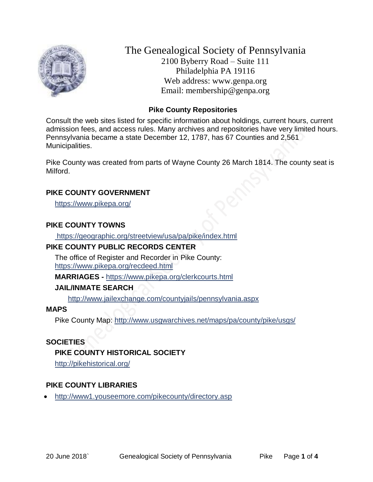

The Genealogical Society of Pennsylvania 2100 Byberry Road – Suite 111 Philadelphia PA 19116 Web address: www.genpa.org Email: membership@genpa.org

## **Pike County Repositories**

Consult the web sites listed for specific information about holdings, current hours, current admission fees, and access rules. Many archives and repositories have very limited hours. Pennsylvania became a state December 12, 1787, has 67 Counties and 2,561 Municipalities.

Pike County was created from parts of Wayne County 26 March 1814. The county seat is Milford.

#### **PIKE COUNTY GOVERNMENT**

<https://www.pikepa.org/>

#### **PIKE COUNTY TOWNS**

<https://geographic.org/streetview/usa/pa/pike/index.html>

#### **PIKE COUNTY PUBLIC RECORDS CENTER**

The office of Register and Recorder in Pike County: <https://www.pikepa.org/recdeed.html>

**MARRIAGES -** <https://www.pikepa.org/clerkcourts.html>

#### **JAIL/INMATE SEARCH**

<http://www.jailexchange.com/countyjails/pennsylvania.aspx>

### **MAPS**

Pike County Map:<http://www.usgwarchives.net/maps/pa/county/pike/usgs/>

#### **SOCIETIES**

#### **PIKE COUNTY HISTORICAL SOCIETY**

<http://pikehistorical.org/>

#### **PIKE COUNTY LIBRARIES**

• <http://www1.youseemore.com/pikecounty/directory.asp>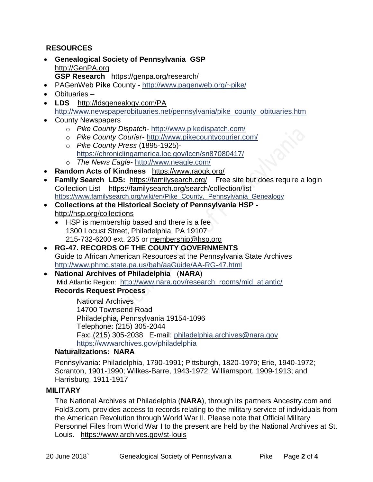# **RESOURCES**

- **Genealogical Society of Pennsylvania GSP** [http://GenPA.org](http://genpa.org/) **GSP Research** <https://genpa.org/research/>
- PAGenWeb **Pike** County <http://www.pagenweb.org/~pike/>
- Obituaries –
- **LDS** <http://ldsgenealogy.com/PA> [http://www.newspaperobituaries.net/pennsylvania/pike\\_county\\_obituaries.htm](http://www.newspaperobituaries.net/pennsylvania/pike_county_obituaries.htm)
- County Newspapers
	- o *Pike County Dispatch* <http://www.pikedispatch.com/>
	- o *Pike County Courier* <http://www.pikecountycourier.com/>
	- o *Pike County Press* (1895-1925) <https://chroniclingamerica.loc.gov/lccn/sn87080417/> o *The News Eagle*- <http://www.neagle.com/>
- **Random Acts of Kindness** <https://www.raogk.org/>
- **Family Search LDS:** <https://familysearch.org/>Free site but does require a login Collection List <https://familysearch.org/search/collection/list> [https://www.familysearch.org/wiki/en/Pike\\_County,\\_Pennsylvania\\_Genealogy](https://www.familysearch.org/wiki/en/Pike_County,_Pennsylvania_Genealogy)
- **Collections at the Historical Society of Pennsylvania HSP**  <http://hsp.org/collections>
	- HSP is membership based and there is a fee 1300 Locust Street, Philadelphia, PA 19107 215-732-6200 ext. 235 or [membership@hsp.org](mailto:membership@hsp.org)
- **RG-47. RECORDS OF THE COUNTY GOVERNMENTS** Guide to African American Resources at the Pennsylvania State Archives <http://www.phmc.state.pa.us/bah/aaGuide/AA-RG-47.html>
- **National Archives of Philadelphia** (**NARA**) Mid Atlantic Region: [http://www.nara.gov/research\\_rooms/mid\\_atlantic/](http://www.nara.gov/research_rooms/mid_atlantic/) **Records Request Process**

National Archives 14700 Townsend Road Philadelphia, Pennsylvania 19154-1096 Telephone: (215) 305-2044 Fax: (215) 305-2038 E-mail: [philadelphia.archives@nara.gov](mailto:philadelphia.archives@nara.gov) <https://wwwarchives.gov/philadelphia>

### **Naturalizations: NARA**

Pennsylvania: Philadelphia, 1790-1991; Pittsburgh, 1820-1979; Erie, 1940-1972; Scranton, 1901-1990; Wilkes-Barre, 1943-1972; Williamsport, 1909-1913; and Harrisburg, 1911-1917

## **MILITARY**

The National Archives at Philadelphia (**NARA**), through its partners Ancestry.com and Fold3.com, provides access to records relating to the military service of individuals from the American Revolution through World War II. Please note that Official Military Personnel Files from World War I to the present are held by the National Archives at St. Louis. <https://www.archives.gov/st-louis>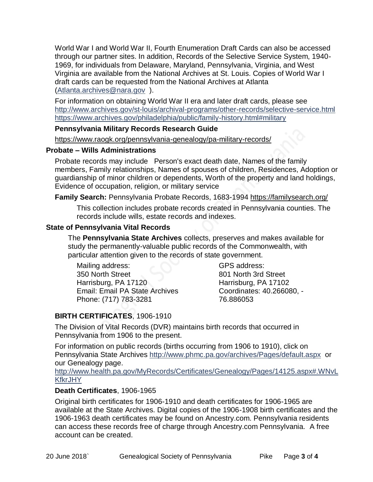World War I and World War II, Fourth Enumeration Draft Cards can also be accessed through our partner sites. In addition, Records of the Selective Service System, 1940- 1969, for individuals from Delaware, Maryland, Pennsylvania, Virginia, and West Virginia are available from the National Archives at St. Louis. Copies of World War I draft cards can be requested from the National Archives at Atlanta [\(Atlanta.archives@nara.gov](mailto:Atlanta.archives@nara.gov) ).

For information on obtaining World War II era and later draft cards, please see <http://www.archives.gov/st-louis/archival-programs/other-records/selective-service.html> <https://www.archives.gov/philadelphia/public/family-history.html#military>

#### **Pennsylvania Military Records Research Guide**

<https://www.raogk.org/pennsylvania-genealogy/pa-military-records/>

#### **Probate – Wills Administrations**

Probate records may include Person's exact death date, Names of the family members, Family relationships, Names of spouses of children, Residences, Adoption or guardianship of minor children or dependents, Worth of the property and land holdings, Evidence of occupation, religion, or military service

## **Family Search:** Pennsylvania Probate Records, 1683-1994 <https://familysearch.org/>

This collection includes probate records created in Pennsylvania counties. The records include wills, estate records and indexes.

# **State of Pennsylvania Vital Records**

The **Pennsylvania State Archives** collects, preserves and makes available for study the permanently-valuable public records of the Commonwealth, with particular attention given to the records of state government.

Mailing address: 350 North Street Harrisburg, PA 17120 Email: Email PA State Archives Phone: (717) 783-3281

GPS address: 801 North 3rd Street Harrisburg, PA 17102 Coordinates: 40.266080, - 76.886053

# **BIRTH CERTIFICATES**, 1906-1910

The Division of Vital Records (DVR) maintains birth records that occurred in Pennsylvania from 1906 to the present.

For information on public records (births occurring from 1906 to 1910), click on Pennsylvania State Archives <http://www.phmc.pa.gov/archives/Pages/default.aspx>or our Genealogy page.

[http://www.health.pa.gov/MyRecords/Certificates/Genealogy/Pages/14125.aspx#.WNvL](http://www.health.pa.gov/MyRecords/Certificates/Genealogy/Pages/14125.aspx#.WNvLKfkrJHY) **[KfkrJHY](http://www.health.pa.gov/MyRecords/Certificates/Genealogy/Pages/14125.aspx#.WNvLKfkrJHY)** 

## **Death Certificates**, 1906-1965

Original birth certificates for 1906-1910 and death certificates for 1906-1965 are available at the State Archives. Digital copies of the 1906-1908 birth certificates and the 1906-1963 death certificates may be found on Ancestry.com. Pennsylvania residents can access these records free of charge through Ancestry.com Pennsylvania. A free account can be created.